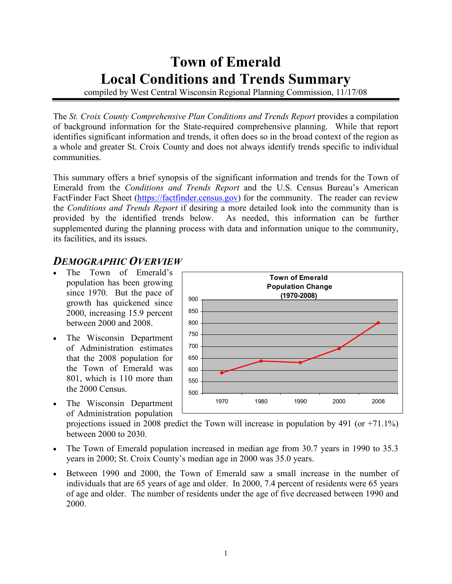# Town of Emerald Local Conditions and Trends Summary

compiled by West Central Wisconsin Regional Planning Commission, 11/17/08

The St. Croix County Comprehensive Plan Conditions and Trends Report provides a compilation of background information for the State-required comprehensive planning. While that report identifies significant information and trends, it often does so in the broad context of the region as a whole and greater St. Croix County and does not always identify trends specific to individual communities.

This summary offers a brief synopsis of the significant information and trends for the Town of Emerald from the Conditions and Trends Report and the U.S. Census Bureau's American FactFinder Fact Sheet (https://factfinder.census.gov) for the community. The reader can review the Conditions and Trends Report if desiring a more detailed look into the community than is provided by the identified trends below. As needed, this information can be further supplemented during the planning process with data and information unique to the community, its facilities, and its issues.

### DEMOGRAPHIC OVERVIEW

- The Town of Emerald's population has been growing since 1970. But the pace of growth has quickened since 2000, increasing 15.9 percent between 2000 and 2008.
- The Wisconsin Department of Administration estimates that the 2008 population for the Town of Emerald was 801, which is 110 more than the 2000 Census.
- The Wisconsin Department of Administration population



projections issued in 2008 predict the Town will increase in population by 491 (or +71.1%) between 2000 to 2030.

- The Town of Emerald population increased in median age from 30.7 years in 1990 to 35.3 years in 2000; St. Croix County's median age in 2000 was 35.0 years.
- Between 1990 and 2000, the Town of Emerald saw a small increase in the number of individuals that are 65 years of age and older. In 2000, 7.4 percent of residents were 65 years of age and older. The number of residents under the age of five decreased between 1990 and 2000.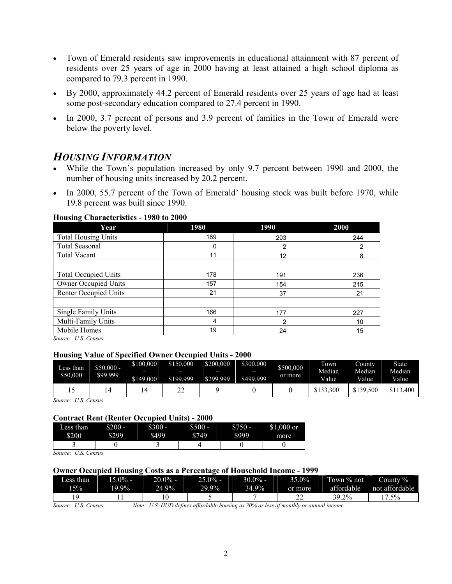- Town of Emerald residents saw improvements in educational attainment with 87 percent of residents over 25 years of age in 2000 having at least attained a high school diploma as compared to 79.3 percent in 1990.
- By 2000, approximately 44.2 percent of Emerald residents over 25 years of age had at least some post-secondary education compared to 27.4 percent in 1990.
- In 2000, 3.7 percent of persons and 3.9 percent of families in the Town of Emerald were below the poverty level.

### HOUSING INFORMATION

- While the Town's population increased by only 9.7 percent between 1990 and 2000, the number of housing units increased by 20.2 percent.
- In 2000, 55.7 percent of the Town of Emerald' housing stock was built before 1970, while 19.8 percent was built since 1990.

#### Housing Characteristics - 1980 to 2000

| Year                        | 1980 | 1990 | 2000 |  |
|-----------------------------|------|------|------|--|
| <b>Total Housing Units</b>  | 189  | 203  | 244  |  |
| Total Seasonal              | 0    | 2    | 2    |  |
| <b>Total Vacant</b>         | 11   | 12   | 8    |  |
|                             |      |      |      |  |
| <b>Total Occupied Units</b> | 178  | 191  | 236  |  |
| Owner Occupied Units        | 157  | 154  | 215  |  |
| Renter Occupied Units       | 21   | 37   | 21   |  |
|                             |      |      |      |  |
| Single Family Units         | 166  | 177  | 227  |  |
| Multi-Family Units          | 4    | 2    | 10   |  |
| Mobile Homes                | 19   | 24   | 15   |  |

Source: U.S. Census.

#### Housing Value of Specified Owner Occupied Units - 2000

| Less than<br>\$50,000 | $$50,000 -$<br>\$99,999 | \$100,000<br>\$149,000 | \$150,000<br>ـ<br>\$199.999 | \$200,000<br>\$299.999 | _<br>\$300,000<br>\$499.999 | \$500,000<br>or more | Town<br>Median<br><b>Value</b> | Countv<br>Median<br>Value | <b>State</b><br>Median<br><b>Value</b> |
|-----------------------|-------------------------|------------------------|-----------------------------|------------------------|-----------------------------|----------------------|--------------------------------|---------------------------|----------------------------------------|
|                       |                         |                        | ∸                           |                        |                             |                      | .300<br>\$133.                 | \$139,500                 | \$113.400                              |

Source: U.S. Census

#### Contract Rent (Renter Occupied Units) - 2000

| ŀ<br>∟ess than | \$200<br>_ | __<br>$$300 -$ | 500<br>₼ | -<br>\$750 | $.000$ or<br>ሰ 1 |
|----------------|------------|----------------|----------|------------|------------------|
|                |            |                | ـ        | ٠          | ر دی             |
| \$200          | ፍን99       | 5499<br>ጣ<br>_ | \$749    | 8999       | more             |
|                |            |                |          |            |                  |

Source: U.S. Census

#### Owner Occupied Housing Costs as a Percentage of Household Income - 1999

| Less than | $-15.0\%$ | $20.0\%$ - | $25.0\%$ - | 30.0% -  | 35.0%   | Town % not | County %       |
|-----------|-----------|------------|------------|----------|---------|------------|----------------|
| 15%       | $19.9\%$  | 24.9%      | $29.9\%$   | $34.9\%$ | or more | affordable | not affordable |
|           |           |            |            |          | ^^<br>∸ | $39.2\%$   | $.5\%$         |

Source: U.S. Census Note: U.S. HUD defines affordable housing as 30% or less of monthly or annual income.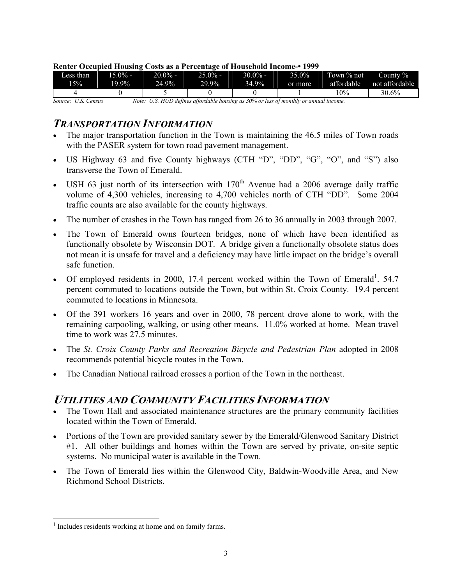| Less than                                                                                                              | $15.0\%$ - | $20.0\%$ – | $25.0\%$ - | $30.0\%$ - | 35.0%   | Town % not | County $\%$    |
|------------------------------------------------------------------------------------------------------------------------|------------|------------|------------|------------|---------|------------|----------------|
| 15%                                                                                                                    | 19.9%      | 24.9%      | 29.9%      | 34.9%      | or more | affordable | not affordable |
|                                                                                                                        |            |            |            |            |         | l 0%       | 30.6%          |
| Note: U.S. HUD defines affordable housing as 30% or less of monthly or annual income.<br><i>Source:</i><br>U.S. Census |            |            |            |            |         |            |                |

#### Renter Occupied Housing Costs as a Percentage of Household Income-• 1999

### TRANSPORTATION INFORMATION

- The major transportation function in the Town is maintaining the 46.5 miles of Town roads with the PASER system for town road pavement management.
- US Highway 63 and five County highways (CTH "D", "DD", "G", "O", and "S") also transverse the Town of Emerald.
- USH 63 just north of its intersection with  $170<sup>th</sup>$  Avenue had a 2006 average daily traffic volume of 4,300 vehicles, increasing to 4,700 vehicles north of CTH "DD". Some 2004 traffic counts are also available for the county highways.
- The number of crashes in the Town has ranged from 26 to 36 annually in 2003 through 2007.
- The Town of Emerald owns fourteen bridges, none of which have been identified as functionally obsolete by Wisconsin DOT. A bridge given a functionally obsolete status does not mean it is unsafe for travel and a deficiency may have little impact on the bridge's overall safe function.
- Of employed residents in 2000, 17.4 percent worked within the Town of Emerald<sup>1</sup>. 54.7 percent commuted to locations outside the Town, but within St. Croix County. 19.4 percent commuted to locations in Minnesota.
- Of the 391 workers 16 years and over in 2000, 78 percent drove alone to work, with the remaining carpooling, walking, or using other means. 11.0% worked at home. Mean travel time to work was 27.5 minutes.
- The St. Croix County Parks and Recreation Bicycle and Pedestrian Plan adopted in 2008 recommends potential bicycle routes in the Town.
- The Canadian National railroad crosses a portion of the Town in the northeast.

# UTILITIES AND COMMUNITY FACILITIES INFORMATION

- The Town Hall and associated maintenance structures are the primary community facilities located within the Town of Emerald.
- Portions of the Town are provided sanitary sewer by the Emerald/Glenwood Sanitary District #1. All other buildings and homes within the Town are served by private, on-site septic systems. No municipal water is available in the Town.
- The Town of Emerald lies within the Glenwood City, Baldwin-Woodville Area, and New Richmond School Districts.

-

<sup>&</sup>lt;sup>1</sup> Includes residents working at home and on family farms.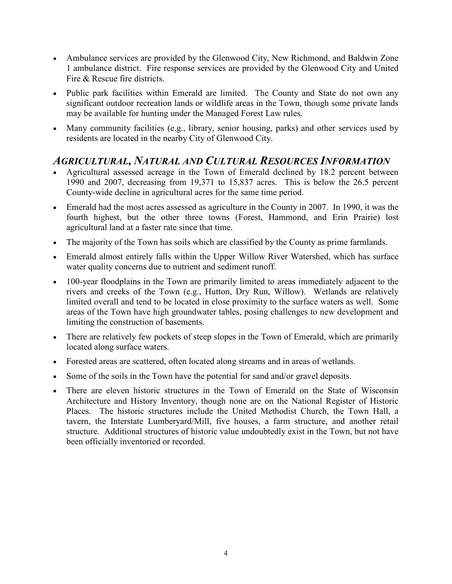- Ambulance services are provided by the Glenwood City, New Richmond, and Baldwin Zone 1 ambulance district. Fire response services are provided by the Glenwood City and United Fire & Rescue fire districts.
- Public park facilities within Emerald are limited. The County and State do not own any significant outdoor recreation lands or wildlife areas in the Town, though some private lands may be available for hunting under the Managed Forest Law rules.
- Many community facilities (e.g., library, senior housing, parks) and other services used by residents are located in the nearby City of Glenwood City.

# AGRICULTURAL, NATURAL AND CULTURAL RESOURCES INFORMATION

- Agricultural assessed acreage in the Town of Emerald declined by 18.2 percent between 1990 and 2007, decreasing from 19,371 to 15,837 acres. This is below the 26.5 percent County-wide decline in agricultural acres for the same time period.
- Emerald had the most acres assessed as agriculture in the County in 2007. In 1990, it was the fourth highest, but the other three towns (Forest, Hammond, and Erin Prairie) lost agricultural land at a faster rate since that time.
- The majority of the Town has soils which are classified by the County as prime farmlands.
- Emerald almost entirely falls within the Upper Willow River Watershed, which has surface water quality concerns due to nutrient and sediment runoff.
- 100-year floodplains in the Town are primarily limited to areas immediately adjacent to the rivers and creeks of the Town (e.g., Hutton, Dry Run, Willow). Wetlands are relatively limited overall and tend to be located in close proximity to the surface waters as well. Some areas of the Town have high groundwater tables, posing challenges to new development and limiting the construction of basements.
- There are relatively few pockets of steep slopes in the Town of Emerald, which are primarily located along surface waters.
- Forested areas are scattered, often located along streams and in areas of wetlands.
- Some of the soils in the Town have the potential for sand and/or gravel deposits.
- There are eleven historic structures in the Town of Emerald on the State of Wisconsin Architecture and History Inventory, though none are on the National Register of Historic Places. The historic structures include the United Methodist Church, the Town Hall, a tavern, the Interstate Lumberyard/Mill, five houses, a farm structure, and another retail structure. Additional structures of historic value undoubtedly exist in the Town, but not have been officially inventoried or recorded.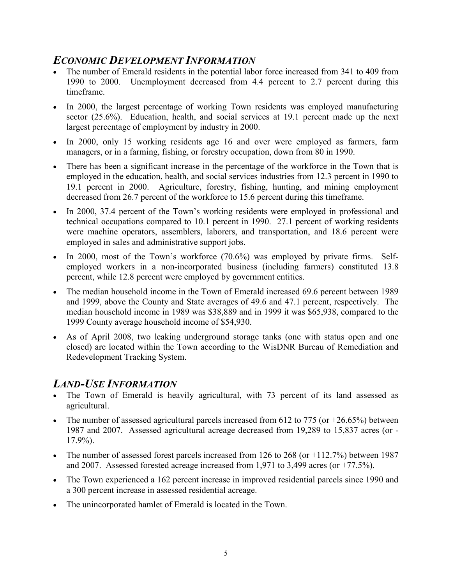# ECONOMIC DEVELOPMENT INFORMATION

- The number of Emerald residents in the potential labor force increased from 341 to 409 from 1990 to 2000. Unemployment decreased from 4.4 percent to 2.7 percent during this timeframe.
- In 2000, the largest percentage of working Town residents was employed manufacturing sector (25.6%). Education, health, and social services at 19.1 percent made up the next largest percentage of employment by industry in 2000.
- In 2000, only 15 working residents age 16 and over were employed as farmers, farm managers, or in a farming, fishing, or forestry occupation, down from 80 in 1990.
- There has been a significant increase in the percentage of the workforce in the Town that is employed in the education, health, and social services industries from 12.3 percent in 1990 to 19.1 percent in 2000. Agriculture, forestry, fishing, hunting, and mining employment decreased from 26.7 percent of the workforce to 15.6 percent during this timeframe.
- In 2000, 37.4 percent of the Town's working residents were employed in professional and technical occupations compared to 10.1 percent in 1990. 27.1 percent of working residents were machine operators, assemblers, laborers, and transportation, and 18.6 percent were employed in sales and administrative support jobs.
- In 2000, most of the Town's workforce (70.6%) was employed by private firms. Selfemployed workers in a non-incorporated business (including farmers) constituted 13.8 percent, while 12.8 percent were employed by government entities.
- The median household income in the Town of Emerald increased 69.6 percent between 1989 and 1999, above the County and State averages of 49.6 and 47.1 percent, respectively. The median household income in 1989 was \$38,889 and in 1999 it was \$65,938, compared to the 1999 County average household income of \$54,930.
- As of April 2008, two leaking underground storage tanks (one with status open and one closed) are located within the Town according to the WisDNR Bureau of Remediation and Redevelopment Tracking System.

## LAND-USE INFORMATION

- The Town of Emerald is heavily agricultural, with 73 percent of its land assessed as agricultural.
- The number of assessed agricultural parcels increased from 612 to 775 (or  $+26.65\%$ ) between 1987 and 2007. Assessed agricultural acreage decreased from 19,289 to 15,837 acres (or - 17.9%).
- The number of assessed forest parcels increased from 126 to 268 (or  $+112.7\%$ ) between 1987 and 2007. Assessed forested acreage increased from 1,971 to 3,499 acres (or +77.5%).
- The Town experienced a 162 percent increase in improved residential parcels since 1990 and a 300 percent increase in assessed residential acreage.
- The unincorporated hamlet of Emerald is located in the Town.